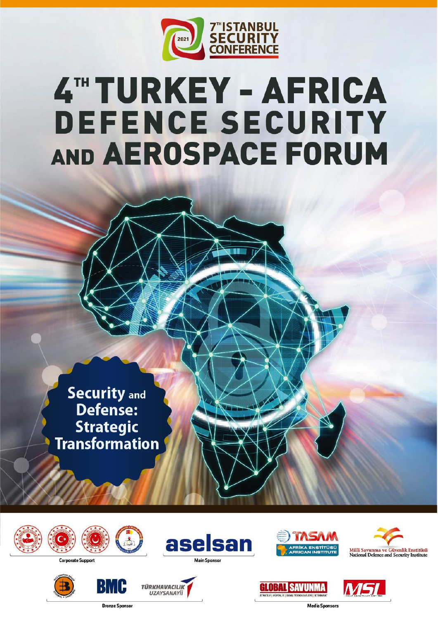

# 4TH TURKEY - AFRICA **DEFENCE SECURITY** AND AEROSPACE FORUM

**Security and** Defense: **Strategic<br>Transformation** 



**Corporate Support** 





**Bronze Sponsor** 











aselsan

**Main Sponsor**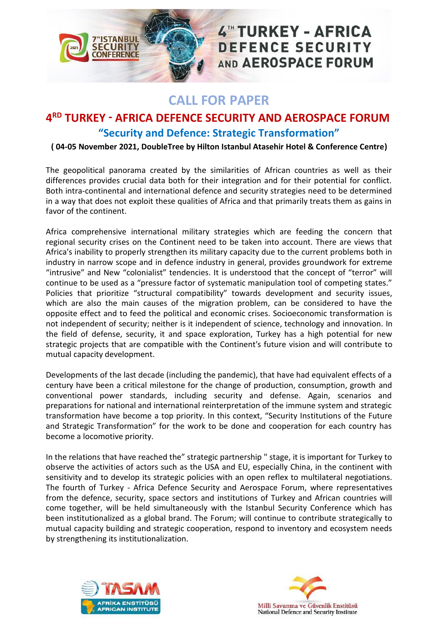

# 4" TURKEY - AFRICA **DEFENCE SECURITY** AND AEROSPACE FORUM

## **CALL FOR PAPER**

### **4 RD TURKEY - AFRICA DEFENCE SECURITY AND AEROSPACE FORUM "Security and Defence: Strategic Transformation"**

#### **( 04-05 November 2021, DoubleTree by Hilton Istanbul Atasehir Hotel & Conference Centre)**

The geopolitical panorama created by the similarities of African countries as well as their differences provides crucial data both for their integration and for their potential for conflict. Both intra-continental and international defence and security strategies need to be determined in a way that does not exploit these qualities of Africa and that primarily treats them as gains in favor of the continent.

Africa comprehensive international military strategies which are feeding the concern that regional security crises on the Continent need to be taken into account. There are views that Africa's inability to properly strengthen its military capacity due to the current problems both in industry in narrow scope and in defence industry in general, provides groundwork for extreme "intrusive" and New "colonialist" tendencies. It is understood that the concept of "terror" will continue to be used as a "pressure factor of systematic manipulation tool of competing states." Policies that prioritize "structural compatibility" towards development and security issues, which are also the main causes of the migration problem, can be considered to have the opposite effect and to feed the political and economic crises. Socioeconomic transformation is not independent of security; neither is it independent of science, technology and innovation. In the field of defense, security, it and space exploration, Turkey has a high potential for new strategic projects that are compatible with the Continent's future vision and will contribute to mutual capacity development.

Developments of the last decade (including the pandemic), that have had equivalent effects of a century have been a critical milestone for the change of production, consumption, growth and conventional power standards, including security and defense. Again, scenarios and preparations for national and international reinterpretation of the immune system and strategic transformation have become a top priority. In this context, "Security Institutions of the Future and Strategic Transformation" for the work to be done and cooperation for each country has become a locomotive priority.

In the relations that have reached the" strategic partnership " stage, it is important for Turkey to observe the activities of actors such as the USA and EU, especially China, in the continent with sensitivity and to develop its strategic policies with an open reflex to multilateral negotiations. The fourth of Turkey - Africa Defence Security and Aerospace Forum, where representatives from the defence, security, space sectors and institutions of Turkey and African countries will come together, will be held simultaneously with the Istanbul Security Conference which has been institutionalized as a global brand. The Forum; will continue to contribute strategically to mutual capacity building and strategic cooperation, respond to inventory and ecosystem needs by strengthening its institutionalization.



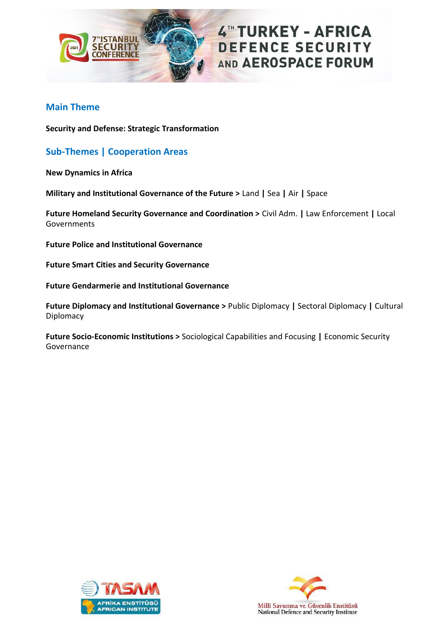

#### **Main Theme**

**Security and Defense: Strategic Transformation**

#### **Sub-Themes | Cooperation Areas**

**New Dynamics in Africa**

**Military and Institutional Governance of the Future >** Land **|** Sea **|** Air **|** Space

**Future Homeland Security Governance and Coordination >** Civil Adm. **|** Law Enforcement **|** Local Governments

**Future Police and Institutional Governance** 

**Future Smart Cities and Security Governance**

**Future Gendarmerie and Institutional Governance**

**Future Diplomacy and Institutional Governance >** Public Diplomacy **|** Sectoral Diplomacy **|** Cultural Diplomacy

**Future Socio-Economic Institutions >** Sociological Capabilities and Focusing **|** Economic Security Governance